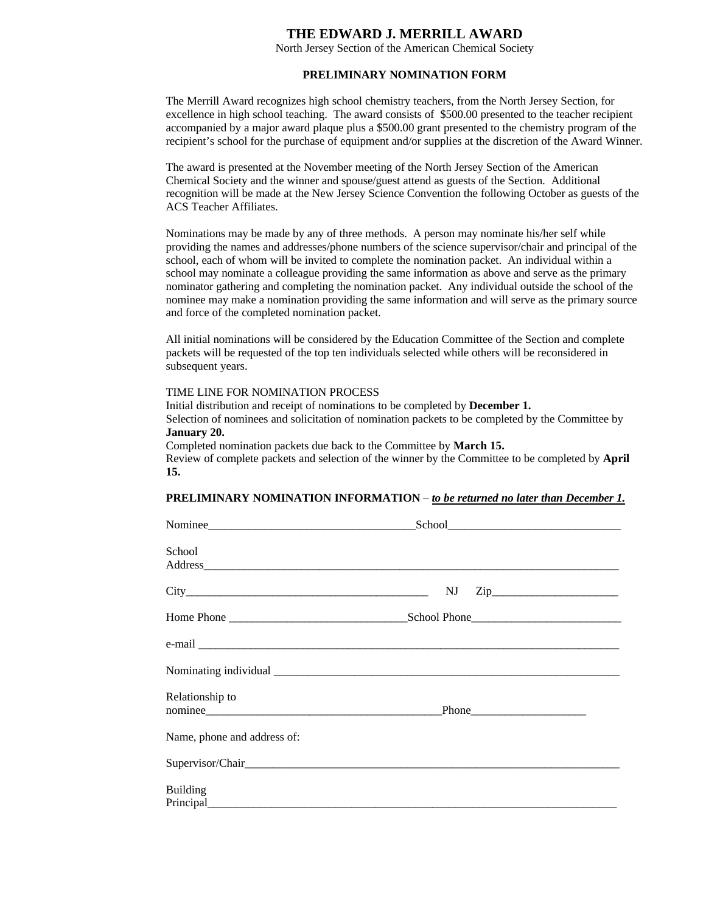# **THE EDWARD J. MERRILL AWARD**

North Jersey Section of the American Chemical Society

# **PRELIMINARY NOMINATION FORM**

The Merrill Award recognizes high school chemistry teachers, from the North Jersey Section, for excellence in high school teaching. The award consists of \$500.00 presented to the teacher recipient accompanied by a major award plaque plus a \$500.00 grant presented to the chemistry program of the recipient's school for the purchase of equipment and/or supplies at the discretion of the Award Winner.

The award is presented at the November meeting of the North Jersey Section of the American Chemical Society and the winner and spouse/guest attend as guests of the Section. Additional recognition will be made at the New Jersey Science Convention the following October as guests of the ACS Teacher Affiliates.

Nominations may be made by any of three methods. A person may nominate his/her self while providing the names and addresses/phone numbers of the science supervisor/chair and principal of the school, each of whom will be invited to complete the nomination packet. An individual within a school may nominate a colleague providing the same information as above and serve as the primary nominator gathering and completing the nomination packet. Any individual outside the school of the nominee may make a nomination providing the same information and will serve as the primary source and force of the completed nomination packet.

All initial nominations will be considered by the Education Committee of the Section and complete packets will be requested of the top ten individuals selected while others will be reconsidered in subsequent years.

## TIME LINE FOR NOMINATION PROCESS

Initial distribution and receipt of nominations to be completed by **December 1.** Selection of nominees and solicitation of nomination packets to be completed by the Committee by **January 20.**

Completed nomination packets due back to the Committee by **March 15.** Review of complete packets and selection of the winner by the Committee to be completed by **April 15.**

#### **PRELIMINARY NOMINATION INFORMATION** – *to be returned no later than December 1.*

| School                      |                 |  |
|-----------------------------|-----------------|--|
|                             | $City$ NJ $Zip$ |  |
|                             |                 |  |
|                             |                 |  |
|                             |                 |  |
| Relationship to             |                 |  |
| Name, phone and address of: |                 |  |
|                             |                 |  |
| <b>Building</b>             |                 |  |